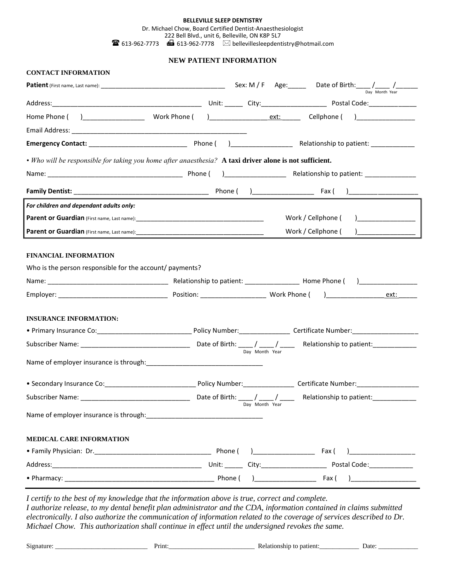#### **BELLEVILLE SLEEP DENTISTRY** Dr. Michael Chow, Board Certified Dentist-Anaesthesiologist 222 Bell Blvd., unit 6, Belleville, ON K8P 5L7

**613-962-7773 16** 613-962-7778  $\boxtimes$  bellevillesleepdentistry@hotmail.com

# **NEW PATIENT INFORMATION**

| <b>CONTACT INFORMATION</b>                                                                              |  |                                                                                                                                                                                                                                                                                                                                                                      |  |                                                                                  |                |  |  |  |  |
|---------------------------------------------------------------------------------------------------------|--|----------------------------------------------------------------------------------------------------------------------------------------------------------------------------------------------------------------------------------------------------------------------------------------------------------------------------------------------------------------------|--|----------------------------------------------------------------------------------|----------------|--|--|--|--|
|                                                                                                         |  |                                                                                                                                                                                                                                                                                                                                                                      |  |                                                                                  | Day Month Year |  |  |  |  |
|                                                                                                         |  |                                                                                                                                                                                                                                                                                                                                                                      |  |                                                                                  |                |  |  |  |  |
|                                                                                                         |  |                                                                                                                                                                                                                                                                                                                                                                      |  |                                                                                  |                |  |  |  |  |
|                                                                                                         |  |                                                                                                                                                                                                                                                                                                                                                                      |  |                                                                                  |                |  |  |  |  |
|                                                                                                         |  |                                                                                                                                                                                                                                                                                                                                                                      |  |                                                                                  |                |  |  |  |  |
| • Who will be responsible for taking you home after anaesthesia? A taxi driver alone is not sufficient. |  |                                                                                                                                                                                                                                                                                                                                                                      |  |                                                                                  |                |  |  |  |  |
|                                                                                                         |  |                                                                                                                                                                                                                                                                                                                                                                      |  |                                                                                  |                |  |  |  |  |
|                                                                                                         |  |                                                                                                                                                                                                                                                                                                                                                                      |  |                                                                                  |                |  |  |  |  |
| For children and dependant adults only:                                                                 |  |                                                                                                                                                                                                                                                                                                                                                                      |  |                                                                                  |                |  |  |  |  |
|                                                                                                         |  | Work / Cellphone (<br>$\begin{picture}(20,20)(-0.00,0.00) \put(0,0){\line(1,0){10}} \put(15,0){\line(1,0){10}} \put(15,0){\line(1,0){10}} \put(15,0){\line(1,0){10}} \put(15,0){\line(1,0){10}} \put(15,0){\line(1,0){10}} \put(15,0){\line(1,0){10}} \put(15,0){\line(1,0){10}} \put(15,0){\line(1,0){10}} \put(15,0){\line(1,0){10}} \put(15,0){\line(1,0){10}} \$ |  |                                                                                  |                |  |  |  |  |
|                                                                                                         |  |                                                                                                                                                                                                                                                                                                                                                                      |  | Work / Cellphone (                                                               |                |  |  |  |  |
| <b>FINANCIAL INFORMATION</b><br>Who is the person responsible for the account/ payments?                |  |                                                                                                                                                                                                                                                                                                                                                                      |  |                                                                                  |                |  |  |  |  |
|                                                                                                         |  |                                                                                                                                                                                                                                                                                                                                                                      |  |                                                                                  |                |  |  |  |  |
|                                                                                                         |  |                                                                                                                                                                                                                                                                                                                                                                      |  |                                                                                  | ext:_______    |  |  |  |  |
| <b>INSURANCE INFORMATION:</b>                                                                           |  |                                                                                                                                                                                                                                                                                                                                                                      |  |                                                                                  |                |  |  |  |  |
|                                                                                                         |  |                                                                                                                                                                                                                                                                                                                                                                      |  |                                                                                  |                |  |  |  |  |
|                                                                                                         |  |                                                                                                                                                                                                                                                                                                                                                                      |  |                                                                                  |                |  |  |  |  |
|                                                                                                         |  | Day Month Year                                                                                                                                                                                                                                                                                                                                                       |  |                                                                                  |                |  |  |  |  |
| • Secondary Insurance Co: Canadian Discoversion Policy Number: Certificate Number: Certificate Number:  |  |                                                                                                                                                                                                                                                                                                                                                                      |  |                                                                                  |                |  |  |  |  |
| Subscriber Name: 1988                                                                                   |  |                                                                                                                                                                                                                                                                                                                                                                      |  | Late of Birth: ____ / ____ / ____ Relationship to patient: __________            |                |  |  |  |  |
|                                                                                                         |  | Day Month Year                                                                                                                                                                                                                                                                                                                                                       |  |                                                                                  |                |  |  |  |  |
| <b>MEDICAL CARE INFORMATION</b>                                                                         |  |                                                                                                                                                                                                                                                                                                                                                                      |  |                                                                                  |                |  |  |  |  |
|                                                                                                         |  |                                                                                                                                                                                                                                                                                                                                                                      |  | $\text{Fax}$ ( )___________________                                              |                |  |  |  |  |
|                                                                                                         |  |                                                                                                                                                                                                                                                                                                                                                                      |  | Unit: _______ City: ____________________________ Postal Code: __________________ |                |  |  |  |  |

*I certify to the best of my knowledge that the information above is true, correct and complete. I authorize release, to my dental benefit plan administrator and the CDA, information contained in claims submitted electronically. I also authorize the communication of information related to the coverage of services described to Dr. Michael Chow. This authorization shall continue in effect until the undersigned revokes the same.*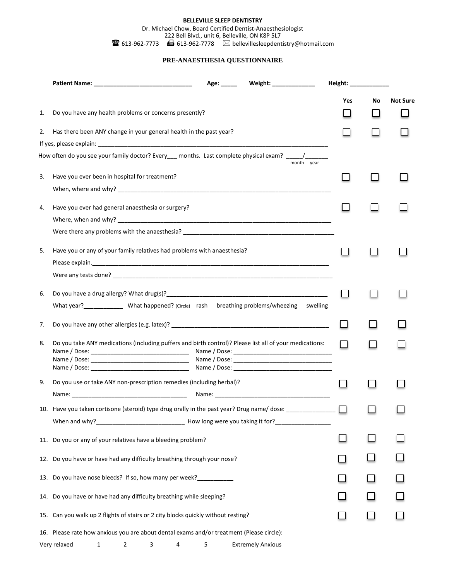#### **BELLEVILLE SLEEP DENTISTRY**

Dr. Michael Chow, Board Certified Dentist-Anaesthesiologist 222 Bell Blvd., unit 6, Belleville, ON K8P 5L7

 $\mathbf{B}$  613-962-7773 **6** 613-962-7778  $\heartsuit$  bellevillesleepdentistry@hotmail.com

## **PRE-ANAESTHESIA QUESTIONNAIRE**

|     |                                                                                                           | Age: $\_\_$ | Weight: _______________ | Height: ______________ |    |                 |
|-----|-----------------------------------------------------------------------------------------------------------|-------------|-------------------------|------------------------|----|-----------------|
|     |                                                                                                           |             |                         | Yes                    | No | <b>Not Sure</b> |
| 1.  | Do you have any health problems or concerns presently?                                                    |             |                         |                        |    |                 |
| 2.  | Has there been ANY change in your general health in the past year?                                        |             |                         |                        |    |                 |
|     |                                                                                                           |             |                         |                        |    |                 |
|     | How often do you see your family doctor? Every__ months. Last complete physical exam? ____/_______        |             | month year              |                        |    |                 |
| 3.  | Have you ever been in hospital for treatment?                                                             |             |                         |                        |    |                 |
|     |                                                                                                           |             |                         |                        |    |                 |
| 4.  | Have you ever had general anaesthesia or surgery?                                                         |             |                         |                        |    |                 |
|     |                                                                                                           |             |                         |                        |    |                 |
|     |                                                                                                           |             |                         |                        |    |                 |
| 5.  | Have you or any of your family relatives had problems with anaesthesia?                                   |             |                         |                        |    |                 |
|     |                                                                                                           |             |                         |                        |    |                 |
|     |                                                                                                           |             |                         |                        |    |                 |
| 6.  |                                                                                                           |             |                         |                        |    |                 |
|     | What year? _______________ What happened? (Circle) rash breathing problems/wheezing swelling              |             |                         |                        |    |                 |
| 7.  |                                                                                                           |             |                         |                        |    |                 |
| 8.  | Do you take ANY medications (including puffers and birth control)? Please list all of your medications:   |             |                         | ΙI                     |    |                 |
|     |                                                                                                           |             |                         |                        |    |                 |
|     |                                                                                                           |             |                         |                        |    |                 |
| 9.  | Do you use or take ANY non-prescription remedies (including herbal)?                                      |             |                         |                        |    |                 |
|     |                                                                                                           |             |                         |                        |    |                 |
|     | 10. Have you taken cortisone (steroid) type drug orally in the past year? Drug name/ dose: ______________ |             |                         |                        |    |                 |
|     |                                                                                                           |             |                         |                        |    |                 |
| 11. | Do you or any of your relatives have a bleeding problem?                                                  |             |                         |                        |    |                 |
| 12. | Do you have or have had any difficulty breathing through your nose?                                       |             |                         |                        |    |                 |
| 13. | Do you have nose bleeds? If so, how many per week?                                                        |             |                         |                        |    |                 |
| 14. | Do you have or have had any difficulty breathing while sleeping?                                          |             |                         |                        |    |                 |
| 15. | Can you walk up 2 flights of stairs or 2 city blocks quickly without resting?                             |             |                         |                        |    |                 |
| 16. | Please rate how anxious you are about dental exams and/or treatment (Please circle):                      |             |                         |                        |    |                 |

Very relaxed 1 2 3 4 5 Extremely Anxious